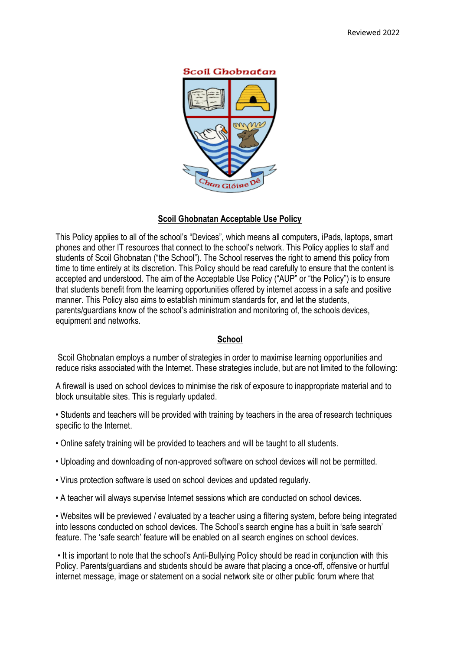#### **Scoil Ghobnatan**



# **Scoil Ghobnatan Acceptable Use Policy**

This Policy applies to all of the school's "Devices", which means all computers, iPads, laptops, smart phones and other IT resources that connect to the school's network. This Policy applies to staff and students of Scoil Ghobnatan ("the School"). The School reserves the right to amend this policy from time to time entirely at its discretion. This Policy should be read carefully to ensure that the content is accepted and understood. The aim of the Acceptable Use Policy ("AUP" or "the Policy") is to ensure that students benefit from the learning opportunities offered by internet access in a safe and positive manner. This Policy also aims to establish minimum standards for, and let the students, parents/guardians know of the school's administration and monitoring of, the schools devices, equipment and networks.

## **School**

Scoil Ghobnatan employs a number of strategies in order to maximise learning opportunities and reduce risks associated with the Internet. These strategies include, but are not limited to the following:

A firewall is used on school devices to minimise the risk of exposure to inappropriate material and to block unsuitable sites. This is regularly updated.

• Students and teachers will be provided with training by teachers in the area of research techniques specific to the Internet.

- Online safety training will be provided to teachers and will be taught to all students.
- Uploading and downloading of non-approved software on school devices will not be permitted.
- Virus protection software is used on school devices and updated regularly.
- A teacher will always supervise Internet sessions which are conducted on school devices.

• Websites will be previewed / evaluated by a teacher using a filtering system, before being integrated into lessons conducted on school devices. The School's search engine has a built in 'safe search' feature. The 'safe search' feature will be enabled on all search engines on school devices.

• It is important to note that the school's Anti-Bullying Policy should be read in conjunction with this Policy. Parents/guardians and students should be aware that placing a once-off, offensive or hurtful internet message, image or statement on a social network site or other public forum where that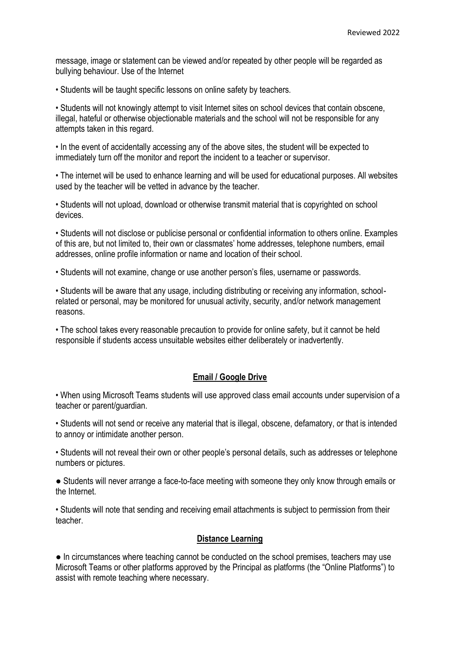message, image or statement can be viewed and/or repeated by other people will be regarded as bullying behaviour. Use of the Internet

• Students will be taught specific lessons on online safety by teachers.

• Students will not knowingly attempt to visit Internet sites on school devices that contain obscene, illegal, hateful or otherwise objectionable materials and the school will not be responsible for any attempts taken in this regard.

• In the event of accidentally accessing any of the above sites, the student will be expected to immediately turn off the monitor and report the incident to a teacher or supervisor.

• The internet will be used to enhance learning and will be used for educational purposes. All websites used by the teacher will be vetted in advance by the teacher.

• Students will not upload, download or otherwise transmit material that is copyrighted on school devices.

• Students will not disclose or publicise personal or confidential information to others online. Examples of this are, but not limited to, their own or classmates' home addresses, telephone numbers, email addresses, online profile information or name and location of their school.

• Students will not examine, change or use another person's files, username or passwords.

• Students will be aware that any usage, including distributing or receiving any information, schoolrelated or personal, may be monitored for unusual activity, security, and/or network management reasons.

• The school takes every reasonable precaution to provide for online safety, but it cannot be held responsible if students access unsuitable websites either deliberately or inadvertently.

#### **Email / Google Drive**

• When using Microsoft Teams students will use approved class email accounts under supervision of a teacher or parent/guardian.

• Students will not send or receive any material that is illegal, obscene, defamatory, or that is intended to annoy or intimidate another person.

• Students will not reveal their own or other people's personal details, such as addresses or telephone numbers or pictures.

• Students will never arrange a face-to-face meeting with someone they only know through emails or the Internet.

• Students will note that sending and receiving email attachments is subject to permission from their teacher.

## **Distance Learning**

● In circumstances where teaching cannot be conducted on the school premises, teachers may use Microsoft Teams or other platforms approved by the Principal as platforms (the "Online Platforms") to assist with remote teaching where necessary.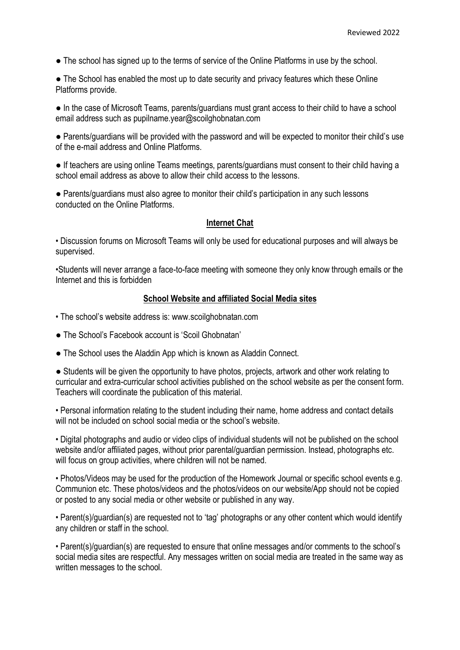• The school has signed up to the terms of service of the Online Platforms in use by the school.

• The School has enabled the most up to date security and privacy features which these Online Platforms provide.

• In the case of Microsoft Teams, parents/guardians must grant access to their child to have a school email address such as pupilname.year@scoilghobnatan.com

● Parents/guardians will be provided with the password and will be expected to monitor their child's use of the e-mail address and Online Platforms.

● If teachers are using online Teams meetings, parents/guardians must consent to their child having a school email address as above to allow their child access to the lessons.

• Parents/guardians must also agree to monitor their child's participation in any such lessons conducted on the Online Platforms.

#### **Internet Chat**

• Discussion forums on Microsoft Teams will only be used for educational purposes and will always be supervised.

•Students will never arrange a face-to-face meeting with someone they only know through emails or the Internet and this is forbidden

#### **School Website and affiliated Social Media sites**

- The school's website address is: www.scoilghobnatan.com
- The School's Facebook account is 'Scoil Ghobnatan'
- The School uses the Aladdin App which is known as Aladdin Connect.

● Students will be given the opportunity to have photos, projects, artwork and other work relating to curricular and extra-curricular school activities published on the school website as per the consent form. Teachers will coordinate the publication of this material.

• Personal information relating to the student including their name, home address and contact details will not be included on school social media or the school's website.

• Digital photographs and audio or video clips of individual students will not be published on the school website and/or affiliated pages, without prior parental/guardian permission. Instead, photographs etc. will focus on group activities, where children will not be named.

• Photos/Videos may be used for the production of the Homework Journal or specific school events e.g. Communion etc. These photos/videos and the photos/videos on our website/App should not be copied or posted to any social media or other website or published in any way.

• Parent(s)/guardian(s) are requested not to 'tag' photographs or any other content which would identify any children or staff in the school.

• Parent(s)/guardian(s) are requested to ensure that online messages and/or comments to the school's social media sites are respectful. Any messages written on social media are treated in the same way as written messages to the school.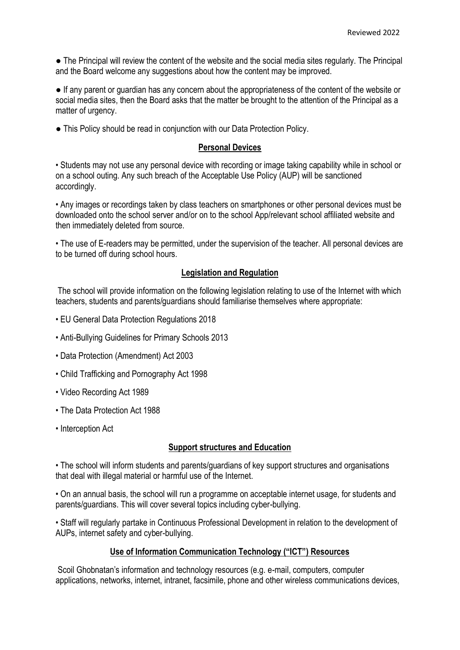● The Principal will review the content of the website and the social media sites regularly. The Principal and the Board welcome any suggestions about how the content may be improved.

● If any parent or guardian has any concern about the appropriateness of the content of the website or social media sites, then the Board asks that the matter be brought to the attention of the Principal as a matter of urgency.

• This Policy should be read in conjunction with our Data Protection Policy.

# **Personal Devices**

• Students may not use any personal device with recording or image taking capability while in school or on a school outing. Any such breach of the Acceptable Use Policy (AUP) will be sanctioned accordingly.

• Any images or recordings taken by class teachers on smartphones or other personal devices must be downloaded onto the school server and/or on to the school App/relevant school affiliated website and then immediately deleted from source.

• The use of E-readers may be permitted, under the supervision of the teacher. All personal devices are to be turned off during school hours.

# **Legislation and Regulation**

The school will provide information on the following legislation relating to use of the Internet with which teachers, students and parents/guardians should familiarise themselves where appropriate:

- EU General Data Protection Regulations 2018
- Anti-Bullying Guidelines for Primary Schools 2013
- Data Protection (Amendment) Act 2003
- Child Trafficking and Pornography Act 1998
- Video Recording Act 1989
- The Data Protection Act 1988
- Interception Act

## **Support structures and Education**

• The school will inform students and parents/guardians of key support structures and organisations that deal with illegal material or harmful use of the Internet.

• On an annual basis, the school will run a programme on acceptable internet usage, for students and parents/guardians. This will cover several topics including cyber-bullying.

• Staff will regularly partake in Continuous Professional Development in relation to the development of AUPs, internet safety and cyber-bullying.

# **Use of Information Communication Technology ("ICT") Resources**

Scoil Ghobnatan's information and technology resources (e.g. e-mail, computers, computer applications, networks, internet, intranet, facsimile, phone and other wireless communications devices,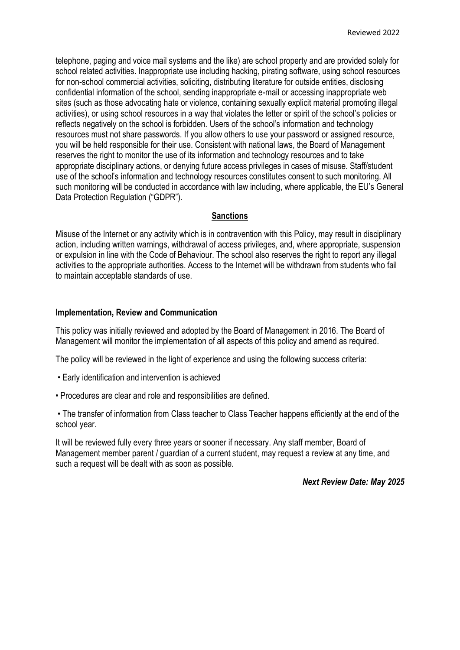telephone, paging and voice mail systems and the like) are school property and are provided solely for school related activities. Inappropriate use including hacking, pirating software, using school resources for non-school commercial activities, soliciting, distributing literature for outside entities, disclosing confidential information of the school, sending inappropriate e-mail or accessing inappropriate web sites (such as those advocating hate or violence, containing sexually explicit material promoting illegal activities), or using school resources in a way that violates the letter or spirit of the school's policies or reflects negatively on the school is forbidden. Users of the school's information and technology resources must not share passwords. If you allow others to use your password or assigned resource, you will be held responsible for their use. Consistent with national laws, the Board of Management reserves the right to monitor the use of its information and technology resources and to take appropriate disciplinary actions, or denying future access privileges in cases of misuse. Staff/student use of the school's information and technology resources constitutes consent to such monitoring. All such monitoring will be conducted in accordance with law including, where applicable, the EU's General Data Protection Regulation ("GDPR").

## **Sanctions**

Misuse of the Internet or any activity which is in contravention with this Policy, may result in disciplinary action, including written warnings, withdrawal of access privileges, and, where appropriate, suspension or expulsion in line with the Code of Behaviour. The school also reserves the right to report any illegal activities to the appropriate authorities. Access to the Internet will be withdrawn from students who fail to maintain acceptable standards of use.

## **Implementation, Review and Communication**

This policy was initially reviewed and adopted by the Board of Management in 2016. The Board of Management will monitor the implementation of all aspects of this policy and amend as required.

The policy will be reviewed in the light of experience and using the following success criteria:

- Early identification and intervention is achieved
- Procedures are clear and role and responsibilities are defined.

• The transfer of information from Class teacher to Class Teacher happens efficiently at the end of the school year.

It will be reviewed fully every three years or sooner if necessary. Any staff member, Board of Management member parent / guardian of a current student, may request a review at any time, and such a request will be dealt with as soon as possible.

*Next Review Date: May 2025*